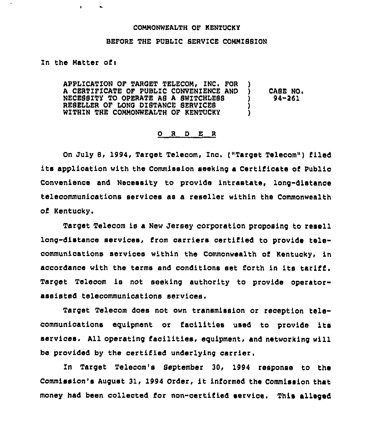## COMMONWEALTH OF KENTUCKY

## BEFORE THE PUBLIC SERVICE COMMISSION

Zn the Matter of <sup>i</sup>

 $\mathbf{E}$  .

 $\bullet$ 

APPLICATION OF TARGET TELECOM, INC. FOR <sup>A</sup> CERTIFICATE OF PUBLIC CONVENIENCE AND ) NECESSITY TO OPERATE AS A SWITCHLESS RESELLER OF LONG DISTANCE SERVICES WITHIN THE COMMONWEALTH OF KENTUCKY  $\qquad$ CASE NO. 94-251

## ORDER

On July 8, 1994, Target Telecom, Inc, ("Target Telecom") filed its application with the Commission seeking <sup>a</sup> Certificate of Public Convenience and Necessity to provide intrastate, long-distance telecommunications servioes as a reseller within the Commonwealth of Kentucky.

Target Telecom is a New Jersey corporation proposing to resell long-distance services, from carriers certified to provide telecommunications services within the Commonwealth of Kentuoky, in accordance with the terms and conditions set forth in its tariff . Target Telecom is not seeking authority to provide operatorassisted telecommunications services.

Target Telecom does not own transmission or reception telecommunications equipment or facilities used to provide its services. All operating facilities, equipment, and networking will be provided by the certified underlying carrier.

In Target Telecom's September 30, 1994 response to the Commission's August 31, 1994 Order, it informed the Commission that money had been collected for non-certified service. This alleged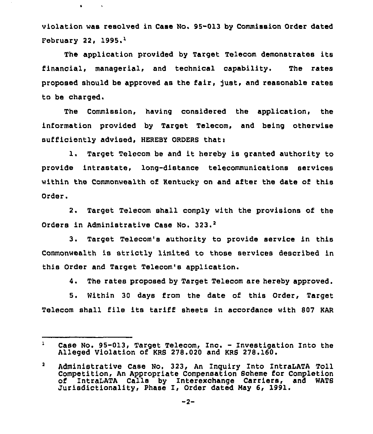violation was resolved in Case No. 95-013 by Commission Order dated February 22,  $1995.1$ 

 $\mathbf{a}^{\dagger}$  .

 $\sim$   $\sim$ 

The application provided by Target Telecom demonstrates its financial, managerial, and technical capability. The rates proposed should be approved as the fair, just, and reasonable rates to be charged.

The Commission, having considered the application, the information provided by Target Telecom, and being otherwise sufficiently advised. HEREBY ORDERS that:

1. Target Telecom be and it hereby is granted authority to provide intrastate, long-distance telecommunications services within the Commonwealth of Kentucky on and after the date of this Order.

Target Telecom shall comply with the provisions of the  $2.7<sub>2</sub>$ Orders in Administrative Case No. 323.<sup>2</sup>

Target Telecom's authority to provide service in this  $3.$ Commonwealth is strictly limited to those services described in this Order and Target Telecom's application.

4. The rates proposed by Target Telecom are hereby approved.

5. Within 30 days from the date of this Order, Target Telecom shall file its tariff sheets in accordance with 807 KAR

 $\mathbf{1}$ Case No. 95-013, Target Telecom, Inc. — Investigation Into the Alleged Violation of KRB 278.020 and KRS 278.160.

 $\mathbf{2}$ Administrative Case No. 323, An Inquiry Into IntraLATA Toll Competition, An Appropriate Compensation Scheme for Completion IntraLATA Calls by Interexchange Carriers, and WATS Jurisdictionality, Phase I, Order dated Nay 6, 1991.